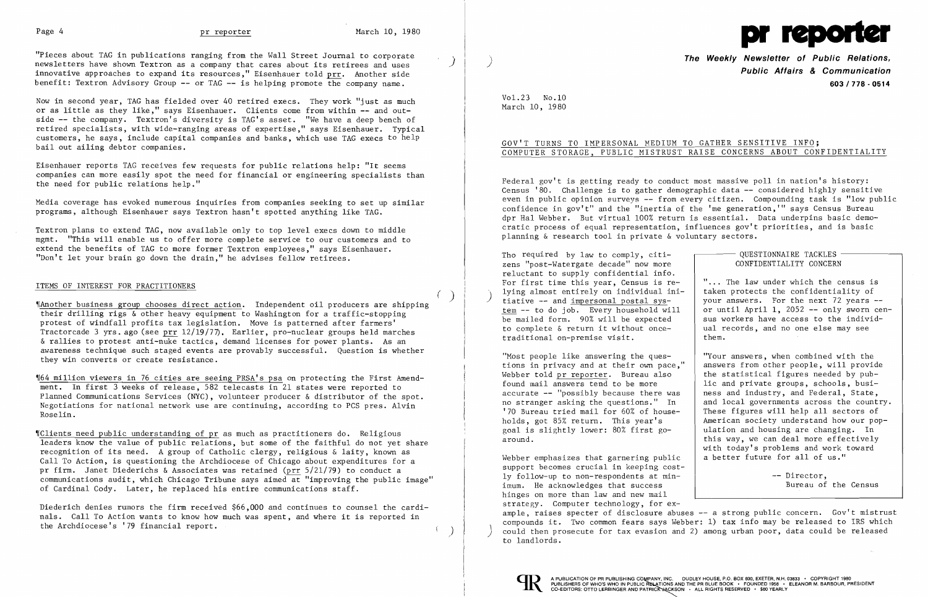

Now in second year, TAG has fielded over 40 retired execs. They work "just as much or as little as they like," says Eisenhauer. Clients come from within - and outside - the company. Textron's diversity is TAG's asset. "We have a deep bench of retired specialists, with wide-ranging areas of expertise," says Eisenhauer. Typical customers, he says, include capital companies and banks, which use TAG execs to help bail out ailing debtor companies.

"Pieces about TAG in publications ranging from the Wall Street Journal to corporate newsletters have shown Textron as a company that cares about its retirees and uses innovative approaches to expand its resources," Eisenhauer told prr. Another side benefit: Textron Advisory Group - or TAG - is helping promote the company name.

)

 $\left(\begin{array}{c} \end{array}\right)$ 

Eisenhauer reports TAG receives few requests for public relations help: "It seems companies can more easily spot the need for financial or engineering specialists than the need for public relations help."

Media coverage has evoked numerous inquiries from companies seeking to set up similar programs, although Eisenhauer says Textron hasn't spotted anything like TAG.

Textron plans to extend TAG, now available only to top level execs down to middle mgmt. "This will enable us to offer more complete service to our customers and to extend the benefits of TAG to more former Textron employees," says Eisenhauer. "Don't let your brain go down the drain," he advises fellow retirees.

Diederich denies rumors the firm received \$66,000 and continues to counsel the cardinals. Call To Action wants to know how much was spent, and where it is reported in the Archdiocese's '79 financial report.

**The Weekly Newsletter of Public Relations, Public Affairs & Communication 603/778·0514** 

~[Another business group chooses direct action. Independent oil producers are shipping their drilling rigs & other heavy equipment to Washington for a traffic-stopping protest of windfall profits tax legislation. Move is patterned after farmers' Tractorcade 3 yrs. ago (see prr  $12/19/77$ . Earlier, pro-nuclear groups held marches & rallies to protest anti-nuke tactics, demand licenses for power plants. As an awareness technique such staged events are provably successful. Question is whether they win converts or create resistance.

## ITEMS OF INTEREST FOR PRACTITIONERS

QUESTIONNAIRE TACKLES -CONFIDENTIALITY CONCERN

~164 million viewers in 76 cities are seeing PRSA's psa on protecting the First Amendment. In first 3 weeks of release, 582 telecasts in 21 states were reported to Planned Communications Services (NYC), volunteer producer & distributor of the spot. Negotiations for national network use are continuing, according to PCS pres. Alvin Roselin.

"... The law under which the census is<br>taken protects the confidentiality of your answers. For the next 72 years --<br>or until April 1, 2052 -- only sworn cen-<br>sus workers have access to the individthem.

"Most people like answering the ques-<br>tions in privacy and at their own pace." answers from other people, will provide lic and private groups, schools, busi-<br>ness and industry, and Federal, State, no stranger asking the questions." In  $\begin{array}{|l|} \hline \end{array}$  and local governments across the country.<br>'70 Bureau tried mail for 60% of house- These figures will help all sectors of holds, got 85% return. This year's <br>
goal is slightly lower: 80% first go-<br>  $\begin{array}{|l|l|}\n\hline\n\end{array}$  and housing are changing. In this way, we can deal more effectively with today's problems and work toward<br>a better future for all of us."

~IClients need public understanding of pr as much as practitioners do. Religious leaders know the value of public relations, but some of the faithful do not yet share recognition of its need. A group of Catholic clergy, religious & laity, known as Call To Action, is questioning the Archdiocese of Chicago about expenditures for a pr firm. Janet Diederichs & Associates was retained (prr 5/21/79) to conduct a communications audit, which Chicago Tribune says aimed at "improving the public image" of Cardinal Cody. Later, he replaced his entire communications staff.

Webber emphasizes that garnering public support becomes crucial in keeping cost ly follow-up to non-respondents at min -- Director. imum. He acknowledges that success Bureau of the Census hinges on more than law and new mail strategy. Computer technology, for example, raises specter of disclosure abuses -- a strong public concern. Gov't mistrust compounds it. Two common fears says Webber: 1) tax info may be released to IRS which could then prosecute for tax evasion and 2) among urban poor, data could be released to landlords.



Vol.23 No.10 March 10, 1980

# GOV'T TURNS TO IMPERSONAL MEDIUM TO GATHER SENSITIVE INFO; COMPUTER STORAGE, PUBLIC MISTRUST RAISE CONCERNS ABOUT CONFIDENTIALITY

Federal gov't is getting ready to conduct most massive poll in nation's history: Census '80. Challenge is to gather demographic data -- considered highly sensitive even in public opinion surveys -- from every citizen. Compounding task is "low public confidence in gov't" and the "inertia of the 'me generation,'" says Census Bureau dpr Hal Webber. But virtual 100% return is essential. Data underpins basic democratic process of equal representation, influences gov't priorities, and is basic planning & research tool in private & voluntary sectors.

zens "post-Watergate decade" now more Tho required by law to comply, citireluctant to supply confidential info. For first time this year, Census is re-<br>lying almost entirely on individual ini-) lying almost entirely on individual ini-<br>tiative -- and <u>impersonal postal sys-</u><br>your answers. For the next 72 years tem -- to do job. Every household will be mailed form. 90% will be expected<br>to complete  $\&$  return it without onceto complete & return it without once-<br>to complete & return it without once-<br>al records, and no one else may see traditional on-premise visit.

tions in privacy and at their own pace," answers from other people, will provide<br>Webber told pr reporter. Bureau also be the statistical figures needed by pub-Webber told  $pr$  reporter. Bureau also found mail answers tend to be more accurate  $-$  "possibly because there was no stranger asking the questions." In '70 Bureau tried mail for  $60\%$  of house-<br>holds, got  $85\%$  return. This year's | American society understand how our pop goal is slightly lower:  $80\%$  first go-<br>around.<br>this way, we can deal more effectively